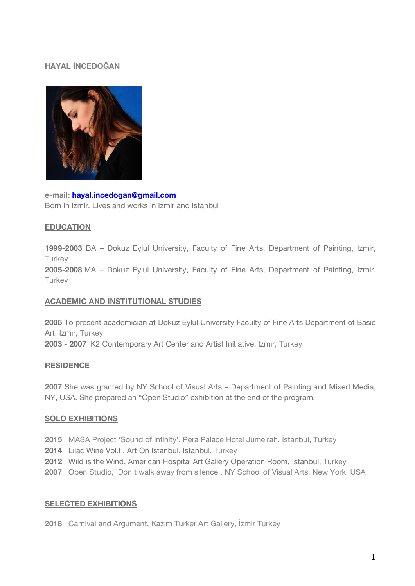## **HAYAL İNCEDOĞAN**



**e-mail: hayal.incedogan@gmail.com** Born in Izmir. Lives and works in Izmir and Istanbul

### **EDUCATION**

**1999-2003** BA – Dokuz Eylul University, Faculty of Fine Arts, Department of Painting, Izmir, **Turkey** 

**2005-2008** MA – Dokuz Eylul University, Faculty of Fine Arts, Department of Painting, Izmir, **Turkey** 

## **ACADEMIC AND INSTITUTIONAL STUDIES**

**2005** To present academician at Dokuz Eylul University Faculty of Fine Arts Department of Basic Art, Izmır, Turkey **2003 - 2007** K2 Contemporary Art Center and Artist Initiative, Izmır, Turkey

## **RESIDENCE**

**2007** She was granted by NY School of Visual Arts – Department of Painting and Mixed Media, NY, USA. She prepared an "Open Studio" exhibition at the end of the program.

#### **SOLO EXHIBITIONS**

- **2015** MASA Project 'Sound of Infinity', Pera Palace Hotel Jumeirah, İstanbul, Turkey
- **2014** Lilac Wine Vol.I , Art On Istanbul, Istanbul, Turkey
- **2012** Wild is the Wind, American Hospital Art Gallery Operation Room, Istanbul, Turkey
- **2007** Open Studio, 'Don't walk away from silence', NY School of Visual Arts, New York, USA

#### **SELECTED EXHIBITIONS**

**2018** Carnival and Argument, Kazım Turker Art Gallery, İzmir Turkey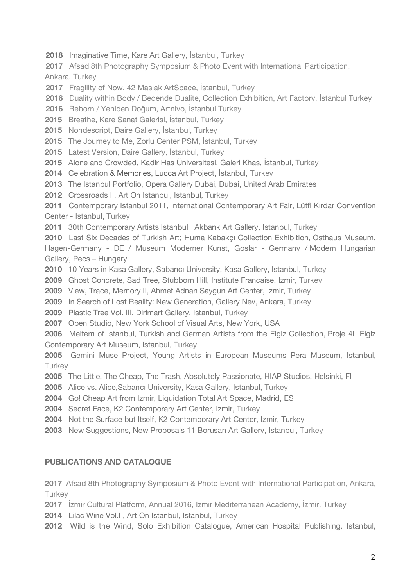**2018** Imaginative Time, Kare Art Gallery, İstanbul, Turkey

Afsad 8th Photography Symposium & Photo Event with International Participation,

Ankara, Turkey

**2017** Fragility of Now, 42 Maslak ArtSpace, İstanbul, Turkey

**2016** Duality within Body / Bedende Dualite, Collection Exhibition, Art Factory, İstanbul Turkey

**2016** Reborn / Yeniden Doğum, Artnivo, İstanbul Turkey

Breathe, Kare Sanat Galerisi, İstanbul, Turkey

Nondescript, Daire Gallery, İstanbul, Turkey

The Journey to Me, Zorlu Center PSM, İstanbul, Turkey

Latest Version, Daire Gallery, İstanbul, Turkey

Alone and Crowded, Kadir Has Üniversitesi, Galeri Khas, İstanbul, Turkey

Celebration & Memories, Lucca Art Project, İstanbul, Turkey

The Istanbul Portfolio, Opera Gallery Dubai, Dubai, United Arab Emirates

Crossroads II, Art On Istanbul, Istanbul, Turkey

 Contemporary Istanbul 2011, International Contemporary Art Fair, Lütfi Kırdar Convention Center - Istanbul, Turkey

30th Contemporary Artists Istanbul Akbank Art Gallery, Istanbul, Turkey

 Last Six Decades of Turkish Art; Huma Kabakçı Collection Exhibition, Osthaus Museum, Hagen-Germany - DE / Museum Moderner Kunst, Goslar - Germany / Modern Hungarian Gallery, Pecs – Hungary

10 Years in Kasa Gallery, Sabancı University, Kasa Gallery, Istanbul, Turkey

Ghost Concrete, Sad Tree, Stubborn Hill, Institute Francaise, Izmir, Turkey

View, Trace, Memory II, Ahmet Adnan Saygun Art Center, Izmir, Turkey

In Search of Lost Reality: New Generation, Gallery Nev, Ankara, Turkey

Plastic Tree Vol. III, Dirimart Gallery, Istanbul, Turkey

Open Studio, New York School of Visual Arts, New York, USA

 Meltem of Istanbul, Turkish and German Artists from the Elgiz Collection, Proje 4L Elgiz Contemporary Art Museum, Istanbul, Turkey

 Gemini Muse Project, Young Artists in European Museums Pera Museum, Istanbul, **Turkey** 

The Little, The Cheap, The Trash, Absolutely Passionate, HIAP Studios, Helsinki, FI

Alice vs. Alice,Sabancı University, Kasa Gallery, Istanbul, Turkey

Go! Cheap Art from Izmir, Liquidation Total Art Space, Madrid, ES

Secret Face, K2 Contemporary Art Center, Izmir, Turkey

Not the Surface but Itself, K2 Contemporary Art Center, Izmir, Turkey

New Suggestions, New Proposals 11 Borusan Art Gallery, Istanbul, Turkey

## **PUBLICATIONS AND CATALOGUE**

 Afsad 8th Photography Symposium & Photo Event with International Participation, Ankara, **Turkey** 

İzmir Cultural Platform, Annual 2016, Izmir Mediterranean Academy, İzmir, Turkey

Lilac Wine Vol.I , Art On Istanbul, Istanbul, Turkey

Wild is the Wind, Solo Exhibition Catalogue, American Hospital Publishing, Istanbul,